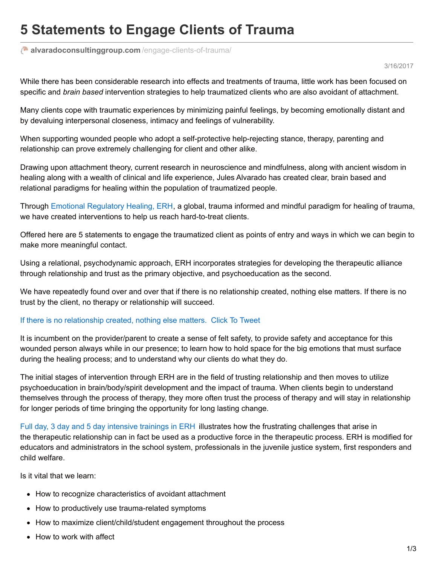## **5 Statements to Engage Clients of Trauma**

**[alvaradoconsultinggroup.com](https://alvaradoconsultinggroup.com/engage-clients-of-trauma/)** /engage-clients-of-trauma/

3/16/2017

While there has been considerable research into effects and treatments of trauma, little work has been focused on specific and *brain based* intervention strategies to help traumatized clients who are also avoidant of attachment.

Many clients cope with traumatic experiences by minimizing painful feelings, by becoming emotionally distant and by devaluing interpersonal closeness, intimacy and feelings of vulnerability.

When supporting wounded people who adopt a self-protective help-rejecting stance, therapy, parenting and relationship can prove extremely challenging for client and other alike.

Drawing upon attachment theory, current research in neuroscience and mindfulness, along with ancient wisdom in healing along with a wealth of clinical and life experience, Jules Alvarado has created clear, brain based and relational paradigms for healing within the population of traumatized people.

Through Emotional [Regulatory](https://alvaradoconsultinggroup.com/key-services/training-speaking/) Healing, ERH, a global, trauma informed and mindful paradigm for healing of trauma, we have created interventions to help us reach hard-to-treat clients.

Offered here are 5 statements to engage the traumatized client as points of entry and ways in which we can begin to make more meaningful contact.

Using a relational, psychodynamic approach, ERH incorporates strategies for developing the therapeutic alliance through relationship and trust as the primary objective, and psychoeducation as the second.

We have repeatedly found over and over that if there is no relationship created, nothing else matters. If there is no trust by the client, no therapy or relationship will succeed.

## If there is no [relationship](https://twitter.com/intent/tweet?text=If there is no relationship created%2C nothing else matters.&via=coachjuli&related=coachjuli&url=https://wp.me/p762UG-DI) created, nothing else matters. Click To [Tweet](https://twitter.com/intent/tweet?text=If there is no relationship created%2C nothing else matters.&via=coachjuli&related=coachjuli&url=https://wp.me/p762UG-DI)

It is incumbent on the provider/parent to create a sense of felt safety, to provide safety and acceptance for this wounded person always while in our presence; to learn how to hold space for the big emotions that must surface during the healing process; and to understand why our clients do what they do.

The initial stages of intervention through ERH are in the field of trusting relationship and then moves to utilize psychoeducation in brain/body/spirit development and the impact of trauma. When clients begin to understand themselves through the process of therapy, they more often trust the process of therapy and will stay in relationship for longer periods of time bringing the opportunity for long lasting change.

Full day, 3 day and 5 day [intensive](https://alvaradoconsultinggroup.com/key-services/training-speaking/) trainings in ERH illustrates how the frustrating challenges that arise in the therapeutic relationship can in fact be used as a productive force in the therapeutic process. ERH is modified for educators and administrators in the school system, professionals in the juvenile justice system, first responders and child welfare.

Is it vital that we learn:

- How to recognize characteristics of avoidant attachment
- How to productively use trauma-related symptoms
- How to maximize client/child/student engagement throughout the process
- How to work with affect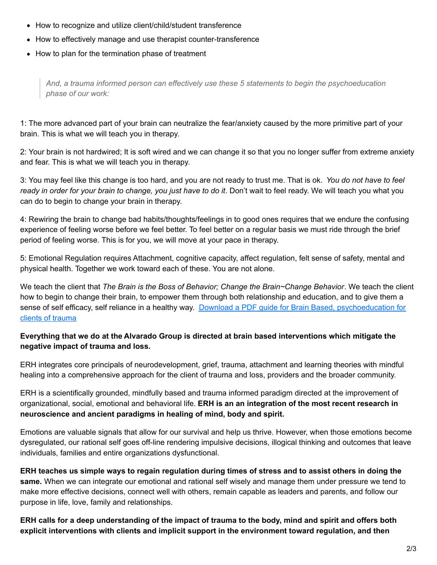- How to recognize and utilize client/child/student transference
- How to effectively manage and use therapist counter-transference
- How to plan for the termination phase of treatment

*And, a trauma informed person can effectively use these 5 statements to begin the psychoeducation phase of our work:*

1: The more advanced part of your brain can neutralize the fear/anxiety caused by the more primitive part of your brain. This is what we will teach you in therapy.

2: Your brain is not hardwired; It is soft wired and we can change it so that you no longer suffer from extreme anxiety and fear. This is what we will teach you in therapy.

3: You may feel like this change is too hard, and you are not ready to trust me. That is ok. *You do not have to feel ready in order for your brain to change, you just have to do it*. Don't wait to feel ready. We will teach you what you can do to begin to change your brain in therapy.

4: Rewiring the brain to change bad habits/thoughts/feelings in to good ones requires that we endure the confusing experience of feeling worse before we feel better. To feel better on a regular basis we must ride through the brief period of feeling worse. This is for you, we will move at your pace in therapy.

5: Emotional Regulation requires Attachment, cognitive capacity, affect regulation, felt sense of safety, mental and physical health. Together we work toward each of these. You are not alone.

We teach the client that *The Brain is the Boss of Behavior; Change the Brain~Change Behavior*. We teach the client how to begin to change their brain, to empower them through both relationship and education, and to give them a sense of self efficacy, self reliance in a healthy way. Download a PDF guide for Brain Based, [psychoeducation](https://alvaradoconsultinggroup.com/wp-content/uploads/2017/03/Brain-Based-Therapies-Handout.pdf) for clients of trauma

## **Everything that we do at the Alvarado Group is directed at brain based interventions which mitigate the negative impact of trauma and loss.**

ERH integrates core principals of neurodevelopment, grief, trauma, attachment and learning theories with mindful healing into a comprehensive approach for the client of trauma and loss, providers and the broader community.

ERH is a scientifically grounded, mindfully based and trauma informed paradigm directed at the improvement of organizational, social, emotional and behavioral life. **ERH is an an integration of the most recent research in neuroscience and ancient paradigms in healing of mind, body and spirit.**

Emotions are valuable signals that allow for our survival and help us thrive. However, when those emotions become dysregulated, our rational self goes off-line rendering impulsive decisions, illogical thinking and outcomes that leave individuals, families and entire organizations dysfunctional.

ERH teaches us simple ways to regain regulation during times of stress and to assist others in doing the **same.** When we can integrate our emotional and rational self wisely and manage them under pressure we tend to make more effective decisions, connect well with others, remain capable as leaders and parents, and follow our purpose in life, love, family and relationships.

ERH calls for a deep understanding of the impact of trauma to the body, mind and spirit and offers both **explicit interventions with clients and implicit support in the environment toward regulation, and then**